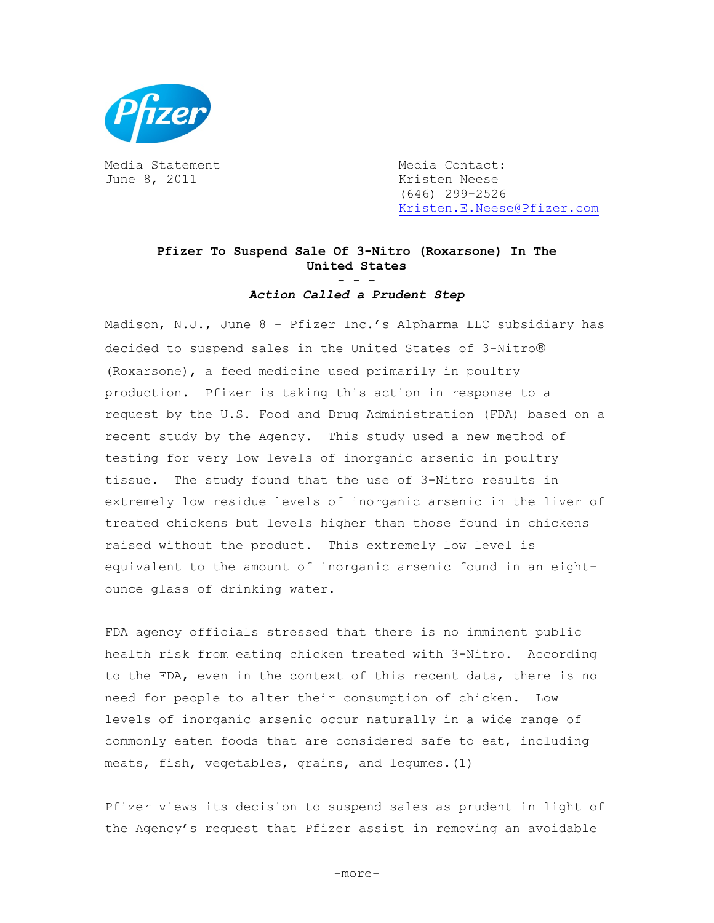

Media Statement Media Contact: June 8, 2011 **Kristen Neese** 

 (646) 299-2526 [Kristen.E.Neese@Pfizer.com](mailto:Kristen.E.Neese@Pfizer.com)

## **Pfizer To Suspend Sale Of 3-Nitro (Roxarsone) In The United States - - -**

*Action Called a Prudent Step* 

Madison, N.J., June 8 - Pfizer Inc.'s Alpharma LLC subsidiary has decided to suspend sales in the United States of 3-Nitro® (Roxarsone), a feed medicine used primarily in poultry production. Pfizer is taking this action in response to a request by the U.S. Food and Drug Administration (FDA) based on a recent study by the Agency. This study used a new method of testing for very low levels of inorganic arsenic in poultry tissue. The study found that the use of 3-Nitro results in extremely low residue levels of inorganic arsenic in the liver of treated chickens but levels higher than those found in chickens raised without the product. This extremely low level is equivalent to the amount of inorganic arsenic found in an eightounce glass of drinking water.

FDA agency officials stressed that there is no imminent public health risk from eating chicken treated with 3-Nitro. According to the FDA, even in the context of this recent data, there is no need for people to alter their consumption of chicken. Low levels of inorganic arsenic occur naturally in a wide range of commonly eaten foods that are considered safe to eat, including meats, fish, vegetables, grains, and legumes.(1)

Pfizer views its decision to suspend sales as prudent in light of the Agency's request that Pfizer assist in removing an avoidable

-more-